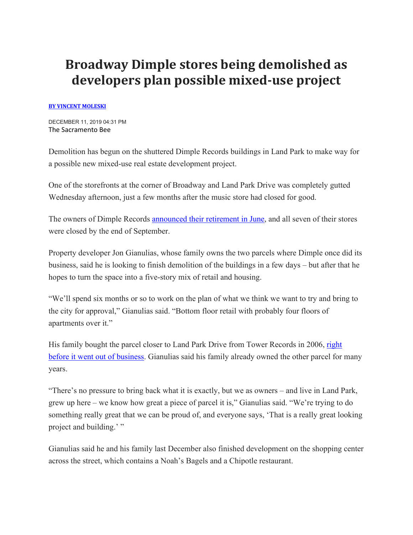## **Broadway Dimple stores being demolished as developers plan possible mixed-use project**

## **[BY VINCENT MOLESKI](mailto:vmoleski@sacbee.com)**

DECEMBER 11, 2019 04:31 PM The Sacramento Bee

Demolition has begun on the shuttered Dimple Records buildings in Land Park to make way for a possible new mixed-use real estate development project.

One of the storefronts at the corner of Broadway and Land Park Drive was completely gutted Wednesday afternoon, just a few months after the music store had closed for good.

The owners of Dimple Records [announced their retirement in June,](https://www.sacbee.com/news/business/article231722353.html) and all seven of their stores were closed by the end of September.

Property developer Jon Gianulias, whose family owns the two parcels where Dimple once did its business, said he is looking to finish demolition of the buildings in a few days – but after that he hopes to turn the space into a five-story mix of retail and housing.

"We'll spend six months or so to work on the plan of what we think we want to try and bring to the city for approval," Gianulias said. "Bottom floor retail with probably four floors of apartments over it."

His family bought the parcel closer to Land Park Drive from Tower Records in 2006, right [before it went out of business.](https://www.sacbee.com/news/local/article101833227.html) Gianulias said his family already owned the other parcel for many years.

"There's no pressure to bring back what it is exactly, but we as owners – and live in Land Park, grew up here – we know how great a piece of parcel it is," Gianulias said. "We're trying to do something really great that we can be proud of, and everyone says, 'That is a really great looking project and building.' "

Gianulias said he and his family last December also finished development on the shopping center across the street, which contains a Noah's Bagels and a Chipotle restaurant.